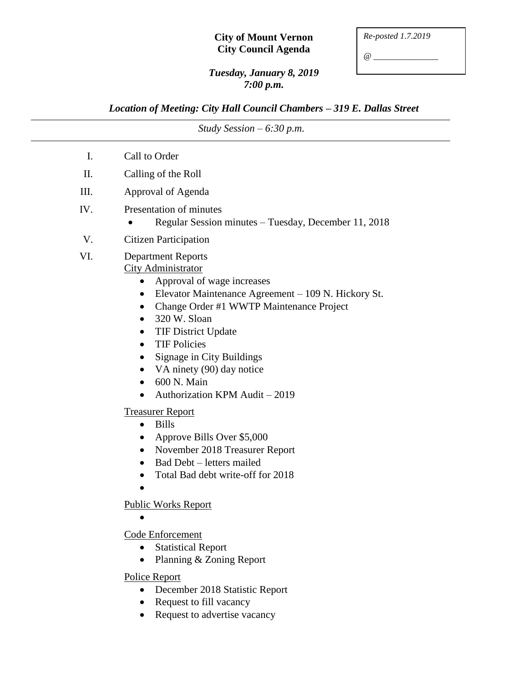## **City of Mount Vernon City Council Agenda**

*@ \_\_\_\_\_\_\_\_\_\_\_\_\_\_\_*

## *Tuesday, January 8, 2019 7:00 p.m.*

*Location of Meeting: City Hall Council Chambers – 319 E. Dallas Street*

| Study Session $-6:30$ p.m. |                                                                                                                                                                                                                                                                                                                                                                                                                                                              |
|----------------------------|--------------------------------------------------------------------------------------------------------------------------------------------------------------------------------------------------------------------------------------------------------------------------------------------------------------------------------------------------------------------------------------------------------------------------------------------------------------|
| I.                         | Call to Order                                                                                                                                                                                                                                                                                                                                                                                                                                                |
| II.                        | Calling of the Roll                                                                                                                                                                                                                                                                                                                                                                                                                                          |
| III.                       | Approval of Agenda                                                                                                                                                                                                                                                                                                                                                                                                                                           |
| IV.                        | Presentation of minutes<br>Regular Session minutes - Tuesday, December 11, 2018                                                                                                                                                                                                                                                                                                                                                                              |
| V.                         | <b>Citizen Participation</b>                                                                                                                                                                                                                                                                                                                                                                                                                                 |
| VI.                        | <b>Department Reports</b><br><b>City Administrator</b><br>Approval of wage increases<br>Elevator Maintenance Agreement - 109 N. Hickory St.<br>$\bullet$<br>Change Order #1 WWTP Maintenance Project<br>$\bullet$<br>320 W. Sloan<br>$\bullet$<br><b>TIF District Update</b><br>$\bullet$<br><b>TIF Policies</b><br>$\bullet$<br><b>Signage in City Buildings</b><br>VA ninety (90) day notice<br>600 N. Main<br>$\bullet$<br>Authorization KPM Audit - 2019 |
|                            | <b>Treasurer Report</b><br><b>Bills</b><br>$\bullet$<br>Approve Bills Over \$5,000<br>November 2018 Treasurer Report<br>$\bullet$<br>Bad Debt - letters mailed<br>Total Bad debt write-off for 2018                                                                                                                                                                                                                                                          |
|                            | <b>Public Works Report</b>                                                                                                                                                                                                                                                                                                                                                                                                                                   |
|                            | Code Enforcement<br><b>Statistical Report</b><br>Planning & Zoning Report                                                                                                                                                                                                                                                                                                                                                                                    |
|                            | <b>Police Report</b><br>December 2018 Statistic Report<br>Request to fill vacancy                                                                                                                                                                                                                                                                                                                                                                            |

- Request to fill vacancy
- Request to advertise vacancy